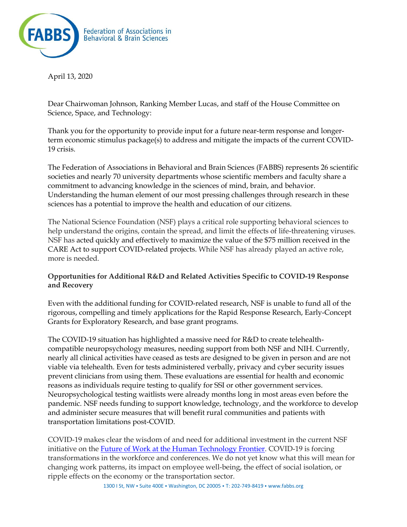

April 13, 2020

Dear Chairwoman Johnson, Ranking Member Lucas, and staff of the House Committee on Science, Space, and Technology:

Thank you for the opportunity to provide input for a future near-term response and longerterm economic stimulus package(s) to address and mitigate the impacts of the current COVID-19 crisis.

The Federation of Associations in Behavioral and Brain Sciences (FABBS) represents 26 scientific societies and nearly 70 university departments whose scientific members and faculty share a commitment to advancing knowledge in the sciences of mind, brain, and behavior. Understanding the human element of our most pressing challenges through research in these sciences has a potential to improve the health and education of our citizens.

The National Science Foundation (NSF) plays a critical role supporting behavioral sciences to help understand the origins, contain the spread, and limit the effects of life-threatening viruses. NSF has acted quickly and effectively to maximize the value of the \$75 million received in the CARE Act to support COVID-related projects. While NSF has already played an active role, more is needed.

## **Opportunities for Additional R&D and Related Activities Specific to COVID-19 Response and Recovery**

Even with the additional funding for COVID-related research, NSF is unable to fund all of the rigorous, compelling and timely applications for the Rapid Response Research, Early-Concept Grants for Exploratory Research, and base grant programs.

The COVID-19 situation has highlighted a massive need for R&D to create telehealthcompatible neuropsychology measures, needing support from both NSF and NIH. Currently, nearly all clinical activities have ceased as tests are designed to be given in person and are not viable via telehealth. Even for tests administered verbally, privacy and cyber security issues prevent clinicians from using them. These evaluations are essential for health and economic reasons as individuals require testing to qualify for SSI or other government services. Neuropsychological testing waitlists were already months long in most areas even before the pandemic. NSF needs funding to support knowledge, technology, and the workforce to develop and administer secure measures that will benefit rural communities and patients with transportation limitations post-COVID.

COVID-19 makes clear the wisdom of and need for additional investment in the current NSF initiative on the **Future of Work at the Human Technology Frontier**. COVID-19 is forcing transformations in the workforce and conferences. We do not yet know what this will mean for changing work patterns, its impact on employee well-being, the effect of social isolation, or ripple effects on the economy or the transportation sector.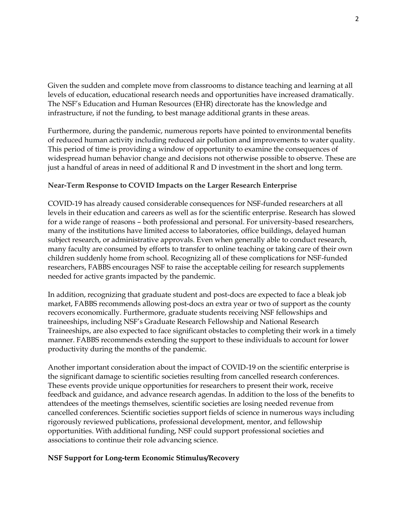Given the sudden and complete move from classrooms to distance teaching and learning at all levels of education, educational research needs and opportunities have increased dramatically. The NSF's Education and Human Resources (EHR) directorate has the knowledge and infrastructure, if not the funding, to best manage additional grants in these areas.

Furthermore, during the pandemic, numerous reports have pointed to environmental benefits of reduced human activity including reduced air pollution and improvements to water quality. This period of time is providing a window of opportunity to examine the consequences of widespread human behavior change and decisions not otherwise possible to observe. These are just a handful of areas in need of additional R and D investment in the short and long term.

## **Near-Term Response to COVID Impacts on the Larger Research Enterprise**

COVID-19 has already caused considerable consequences for NSF-funded researchers at all levels in their education and careers as well as for the scientific enterprise. Research has slowed for a wide range of reasons – both professional and personal. For university-based researchers, many of the institutions have limited access to laboratories, office buildings, delayed human subject research, or administrative approvals. Even when generally able to conduct research, many faculty are consumed by efforts to transfer to online teaching or taking care of their own children suddenly home from school. Recognizing all of these complications for NSF-funded researchers, FABBS encourages NSF to raise the acceptable ceiling for research supplements needed for active grants impacted by the pandemic.

In addition, recognizing that graduate student and post-docs are expected to face a bleak job market, FABBS recommends allowing post-docs an extra year or two of support as the county recovers economically. Furthermore, graduate students receiving NSF fellowships and traineeships, including NSF's Graduate Research Fellowship and National Research Traineeships, are also expected to face significant obstacles to completing their work in a timely manner. FABBS recommends extending the support to these individuals to account for lower productivity during the months of the pandemic.

Another important consideration about the impact of COVID-19 on the scientific enterprise is the significant damage to scientific societies resulting from cancelled research conferences. These events provide unique opportunities for researchers to present their work, receive feedback and guidance, and advance research agendas. In addition to the loss of the benefits to attendees of the meetings themselves, scientific societies are losing needed revenue from cancelled conferences. Scientific societies support fields of science in numerous ways including rigorously reviewed publications, professional development, mentor, and fellowship opportunities. With additional funding, NSF could support professional societies and associations to continue their role advancing science.

## **NSF Support for Long-term Economic Stimulus/Recovery**